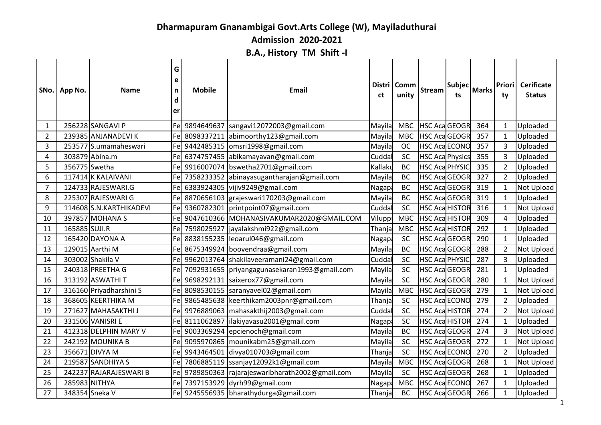## **Dharmapuram Gnanambigai Govt.Arts College (W), Mayiladuthurai**

**Admission 2020-2021**

## **B.A., History TM Shift -I**

|                | SNo.   App No. | <b>Name</b>              | G<br>e<br>n<br>d<br>er | <b>Mobile</b> | <b>Email</b>                                      | ct            | Distri Comm<br>unity | <b>Stream</b>          | Subjec<br>ts | Marks | <b>Priori</b><br>ty      | Cerificate<br><b>Status</b> |
|----------------|----------------|--------------------------|------------------------|---------------|---------------------------------------------------|---------------|----------------------|------------------------|--------------|-------|--------------------------|-----------------------------|
| $\mathbf{1}$   |                | 256228 SANGAVI P         | Fe                     | 9894649637    | sangavi12072003@gmail.com                         | Mayila        | <b>MBC</b>           | <b>HSC AcaGEOGR</b>    |              | 364   | -1                       | Uploaded                    |
| $\overline{2}$ |                | 239385 ANJANADEVIK       | Fel                    | 8098337211    | abimoorthy123@gmail.com                           | Mayila        | <b>MBC</b>           | <b>HSC AcaGEOGR</b>    |              | 357   | -1                       | Uploaded                    |
| 3              |                | 253577 S.umamaheswari    | Fel                    |               | 9442485315 omsri1998@gmail.com                    | Mayila        | <b>OC</b>            | <b>HSC Aca ECONO</b>   |              | 357   | 3                        | Uploaded                    |
| 4              |                | 303879 Abina.m           | Fel                    |               | 6374757455 abikamayavan@gmail.com                 | Cuddal        | SC                   | <b>HSC Aca Physics</b> |              | 355   | 3                        | Uploaded                    |
| 5              |                | 356775 Swetha            | Fel                    | 9916007074    | bswetha2701@gmail.com                             | Kallaku       | <b>BC</b>            | HSC Aca PHYSIO         |              | 335   | $\overline{\phantom{a}}$ | Uploaded                    |
| 6              |                | 117414 K KALAIVANI       | Fel                    |               | 7358233352 abinayasugantharajan@gmail.com         | Mayila        | <b>BC</b>            | <b>HSC AcaGEOGR</b>    |              | 327   | 2                        | Uploaded                    |
| $\overline{7}$ |                | 124733 RAJESWARI.G       | Fel                    |               | 6383924305 vijiv9249@gmail.com                    | <b>Nagapa</b> | <b>BC</b>            | <b>HSC AcaGEOGR</b>    |              | 319   |                          | <b>Not Upload</b>           |
| 8              |                | 225307 RAJESWARI G       |                        |               | Fel 8870656103 grajeswari170203@gmail.com         | Mayila        | BC                   | HSC AcaGEOGR           |              | 319   | $\overline{\mathbf{1}}$  | Uploaded                    |
| $9\,$          |                | 114608 S.N. KARTHIKADEVI | Fe                     |               | 9360782301 printpoint07@gmail.com                 | Cuddal        | SC                   | <b>HSC Aca HISTOR</b>  |              | 316   | -1                       | Not Upload                  |
| 10             |                | 397857 MOHANA S          |                        |               | Fel 9047610366 MOHANASIVAKUMAR2020@GMAIL.COM      | Viluppi       | <b>MBC</b>           | <b>HSC Aca HISTOR</b>  |              | 309   | $\overline{A}$           | Uploaded                    |
| 11             | 165885 SUJI.R  |                          | Fel                    |               | 7598025927  jayalakshmi922@gmail.com              | Thanja        | <b>MBC</b>           | <b>HSC Aca HISTOR</b>  |              | 292   | -1                       | Uploaded                    |
| 12             |                | 165420 DAYONA A          | Fel                    |               | 8838155235 leoarul046@gmail.com                   | Nagapa        | SC                   | <b>HSC AcaGEOGR</b>    |              | 290   | -1                       | Uploaded                    |
| 13             |                | 129015 Aarthi M          | Fel                    |               | 8675349924 boovendraa@gmail.com                   | Mayila        | <b>BC</b>            | <b>HSC AcaGEOGR</b>    |              | 288   | 2                        | Not Upload                  |
| 14             |                | 303002 Shakila V         | Fel                    |               | 9962013764 shakilaveeramani24@gmail.com           | Cuddal        | SC                   | <b>HSC Aca PHYSIC</b>  |              | 287   | 3                        | Uploaded                    |
| 15             |                | 240318 PREETHA G         | Fel                    |               | 7092931655   priyangagunasekaran1993@gmail.com    | Mayila        | SC                   | <b>HSC AcaGEOGR</b>    |              | 281   | $\mathbf{1}$             | Uploaded                    |
| 16             |                | 313192 ASWATHI T         | Fel                    | 9698292131    | saixerox77@gmail.com                              | Mayila        | SC                   | HSC AcaGEOGR           |              | 280   | $\mathbf{1}$             | Not Upload                  |
| 17             |                | 316160 Priyadharshini S  |                        |               | Fe 8098530155 saranyavel02@gmail.com              | Mayila        | <b>MBC</b>           | HSC AcaGEOGR           |              | 279   | $\mathbf{1}$             | <b>Not Upload</b>           |
| 18             |                | 368605 KEERTHIKA M       | Fe                     |               | 9865485638 keerthikam2003pnr@gmail.com            | Thanja        | SC                   | <b>HSC Aca ECONO</b>   |              | 279   |                          | Uploaded                    |
| 19             |                | 271627 MAHASAKTHI J      |                        |               | Fel 9976889063   mahasakthij 2003@gmail.com       | Cuddal        | SC                   | <b>HSC Aca HISTOR</b>  |              | 274   | $\mathcal{P}$            | <b>Not Upload</b>           |
| 20             |                | 331506 VANISRI E         | Fel                    | 8111062897    | lilakiyavasu2001@gmail.com                        | Nagapa        | SC                   | <b>HSC Aca HISTOR</b>  |              | 274   | $\overline{\mathbf{1}}$  | Uploaded                    |
| 21             |                | 412318 DELPHIN MARY V    |                        |               | Fel 9003369294 epcienoch@gmail.com                | Mayila        | <b>BC</b>            | <b>HSC AcaGEOGR</b>    |              | 274   | 3                        | <b>Not Upload</b>           |
| 22             |                | 242192 MOUNIKA B         | Fel                    |               | 9095970865   mounikabm25@gmail.com                | Mayila        | <b>SC</b>            | <b>HSC AcaGEOGR</b>    |              | 272   | $\overline{\phantom{a}}$ | Not Upload                  |
| 23             |                | 356671 DIVYA M           | Fel                    | 9943464501    | divya010703@gmail.com                             | Thanja        | SC                   | <b>HSC Aca ECONO</b>   |              | 270   | $\overline{2}$           | Uploaded                    |
| 24             |                | 219587 SANDHIYA S        | Fel                    |               | 7806885119 ssanjay12092k1@gmail.com               | Mayila        | <b>MBC</b>           | <b>HSC AcaGEOGR</b>    |              | 268   | -1                       | Not Upload                  |
| 25             |                | 242237 RAJARAJESWARI B   |                        |               | Fel 9789850363 rajarajeswaribharath2002@gmail.com | Mayila        | SC                   | <b>HSC Aca GEOGR</b>   |              | 268   | $\mathbf{1}$             | Uploaded                    |
| 26             |                | 285983 NITHYA            | Fel                    |               | 7397153929 dyrh99@gmail.com                       | <b>Nagapa</b> | <b>MBC</b>           | <b>HSC Aca ECONO</b>   |              | 267   | -1                       | Uploaded                    |
| 27             |                | 348354 Sneka V           |                        |               | Fel 9245556935 bharathydurga@gmail.com            | Thanja        | <b>BC</b>            | <b>HSC AcaGEOGR</b>    |              | 266   | 1                        | Uploaded                    |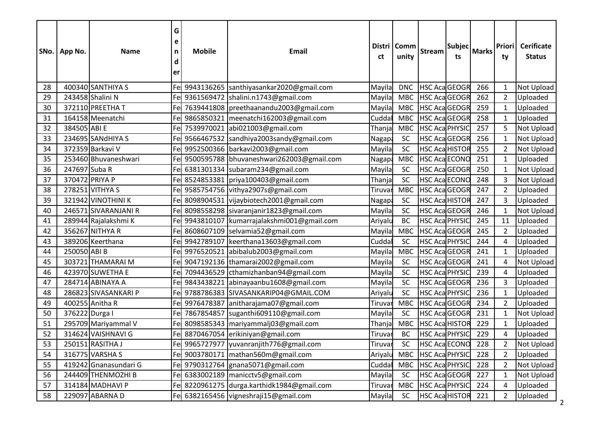|    | SNo.   App No. | <b>Name</b>           | G<br>e<br>n<br>d<br>er | <b>Mobile</b> | Email                                        | ct      | Distri   Comm<br>unity | Stream                | Subjec <br>ts | Marks | <b>Priori</b><br>ty | <b>Cerificate</b><br><b>Status</b> |  |
|----|----------------|-----------------------|------------------------|---------------|----------------------------------------------|---------|------------------------|-----------------------|---------------|-------|---------------------|------------------------------------|--|
| 28 |                | 400340 SANTHIYA S     |                        |               | Fel 9943136265  santhiyasankar2020@gmail.com | Mayila  | <b>DNC</b>             | <b>HSC AcaGEOGR</b>   |               | 266   | -1                  | <b>Not Upload</b>                  |  |
| 29 |                | 243458 Shalini N      | Fe                     |               | 9361569472  shalini.n1743@gmail.com          | Mayila  | <b>MBC</b>             | <b>HSC AcaGEOGR</b>   |               | 262   | $\overline{2}$      | Uploaded                           |  |
| 30 |                | 372110 PREETHA T      | Fe                     |               | 7639441808 preethaanandu2003@gmail.com       | Mayila  | <b>MBC</b>             | <b>HSC AcaGEOGR</b>   |               | 259   | $\mathbf{1}$        | Uploaded                           |  |
| 31 |                | 164158 Meenatchi      | Fe                     |               | 9865850321   meenatchi162003@gmail.com       | Cuddal  | <b>MBC</b>             | HSC AcaGEOGR          |               | 258   | $\mathbf{1}$        | Uploaded                           |  |
| 32 | 384505 ABI E   |                       | Fel                    |               | 7539970021 abi021003@gmail.com               | Thanja  | <b>MBC</b>             | <b>HSC Aca PHYSIC</b> |               | 257   |                     | <b>Not Upload</b>                  |  |
| 33 |                | 234695 SANdHIYA S     | Fe                     |               | 9566467532 sandhiya2003sandy@gmail.com       | Nagapa  | SC                     | <b>HSC AcaGEOGR</b>   |               | 256   | -1                  | Not Upload                         |  |
| 34 |                | 372359 Barkavi V      | Fe                     |               | 9952500366 barkavi2003@gmail.com             | Mayila  | SC                     | <b>HSC Aca HISTOR</b> |               | 255   | $\overline{2}$      | <b>Not Upload</b>                  |  |
| 35 |                | 253460 Bhuvaneshwari  | Fe                     |               | 9500595788 bhuvaneshwari262003@gmail.com     | Nagapa  | <b>MBC</b>             | <b>HSC Aca ECONC</b>  |               | 251   | -1                  | Uploaded                           |  |
| 36 | 247697 Suba R  |                       | Fe                     |               | 6381301334 subaram234@gmail.com              | Mayila  | SC                     | HSC AcaGEOGR          |               | 250   | $\mathbf{1}$        | <b>Not Upload</b>                  |  |
| 37 | 370472 PRIYA P |                       |                        |               | Fel 8524853381   priya100403@gmail.com       | Thanja  | SC                     | <b>HSC Aca ECONO</b>  |               | 248   | 3                   | Not Upload                         |  |
| 38 |                | 278251 VITHYA S       | Fe                     |               | 9585754756 vithya2907s@gmail.com             | Tiruvar | <b>MBC</b>             | <b>HSC AcaGEOGR</b>   |               | 247   | 2                   | Uploaded                           |  |
| 39 |                | 321942 VINOTHINI K    | Fe                     |               | 8098904531 vijaybiotech2001@gmail.com        | Nagapa  | SC                     | <b>HSC Aca HISTOR</b> |               | 247   | 3                   | Uploaded                           |  |
| 40 |                | 246571 SIVARANJANI R  | Fe                     |               | 8098558298 sivaranjanir1823@gmail.com        | Mayila  | SC                     | HSC AcaGEOGR          |               | 246   | $\mathbf 1$         | Not Upload                         |  |
| 41 |                | 289944 Rajalakshmi K  | Fe                     |               | 9943810107   kumarrajalakshmi001@gmail.com   | Ariyalu | <b>BC</b>              | <b>HSC Aca PHYSIC</b> |               | 245   | 11                  | Uploaded                           |  |
| 42 |                | 356267 NITHYA R       | Fel                    |               | 8608607109 selvamia52@gmail.com              | Mayila  | <b>MBC</b>             | <b>HSC AcaGEOGR</b>   |               | 245   | $\overline{2}$      | Uploaded                           |  |
| 43 |                | 389206 Keerthana      | Fe                     |               | 9942789107   keerthana13603@gmail.com        | Cudda   | SC                     | HSC Aca PHYSIC        |               | 244   | 4                   | Uploaded                           |  |
| 44 | 250050 ABI B   |                       | Fe                     |               | 9976520521 abibalub2003@gmail.com            | Mayila  | <b>MBC</b>             | <b>HSC AcaGEOGR</b>   |               | 241   | -1                  | Uploaded                           |  |
| 45 |                | 303721 THAMARAI M     | Fel                    |               | 9047192136 thamarai2002@gmail.com            | Mayila  | SC                     | HSC AcaGEOGR          |               | 241   | 4                   | Not Upload                         |  |
| 46 |                | 423970 SUWETHA E      | Fe                     |               | 7094436529 cthamizhanban94@gmail.com         | Mayila  | SC                     | HSC Aca PHYSIC        |               | 239   | 4                   | Uploaded                           |  |
| 47 |                | 284714 ABINAYA A      | Fel                    | 9843438221    | abinayaanbu1608@gmail.com                    | Mayila  | SC                     | <b>HSC AcaGEOGR</b>   |               | 236   | 3                   | Uploaded                           |  |
| 48 |                | 286823 SIVASANKARI P  | Fel                    |               | 9788786383 SIVASANKARIP04@GMAIL.COM          | Ariyalu | SC                     | <b>HSC Aca PHYSIC</b> |               | 236   | -1                  | Uploaded                           |  |
| 49 |                | 400255 Anitha R       | Fe                     | 9976478387    | anitharajama07@gmail.com                     | Tiruvar | <b>MBC</b>             | <b>HSC AcaGEOGR</b>   |               | 234   | 2                   | Uploaded                           |  |
| 50 | 376222 Durga I |                       | Fe                     | 7867854857    | suganthi609110@gmail.com                     | Mayila  | SC                     | HSC AcaGEOGR          |               | 231   | $\mathbf{1}$        | Not Upload                         |  |
| 51 |                | 295709 Mariyammal V   | Fe                     |               | 8098585343   mariyammalj03@gmail.com         | Thanja  | <b>MBC</b>             | <b>HSC Aca HISTOR</b> |               | 229   |                     | Uploaded                           |  |
| 52 |                | 314624 VAISHNAVI G    |                        |               | Fe 8870467054 erikiniyan@gmail.com           | Tiruvar | <b>BC</b>              | HSC Aca PHYSIC        |               | 229   | 4                   | Uploaded                           |  |
| 53 |                | 250151 RASITHA J      |                        |               | Fel 9965727977  yuvanranjith776@gmail.com    | Tiruvar | <b>SC</b>              | HSC Aca ECONO 228     |               |       |                     | Not Upload                         |  |
| 54 |                | 316775 VARSHA S       |                        |               | Fel 9003780171   mathan560m@gmail.com        | Ariyalu | <b>MBC</b>             | <b>HSC Aca PHYSIC</b> |               | 228   |                     | Uploaded                           |  |
| 55 |                | 419242 Gnanasundari G |                        |               | Fe 9790312764 gnana5071@gmail.com            | Cuddal  | <b>MBC</b>             | HSC Aca PHYSIC        |               | 228   | $\overline{2}$      | Not Upload                         |  |
| 56 |                | 244409 THENMOZHI B    | Fe                     |               | 6383002189   manicctv5@gmail.com             | Mayila  | SC                     | HSC AcaGEOGR          |               | 227   | -1                  | Not Upload                         |  |
| 57 |                | 314184 MADHAVI P      |                        |               | Fel 8220961275 durga.karthidk1984@gmail.com  | Tiruvar | <b>MBC</b>             | <b>HSC Aca PHYSIC</b> |               | 224   | 4                   | Uploaded                           |  |
| 58 |                | 229097 ABARNA D       |                        |               | Fel 6382165456 vigneshraji15@gmail.com       | Mayila  | SC                     | HSC Aca HISTOR 221    |               |       | $\overline{2}$      | Uploaded                           |  |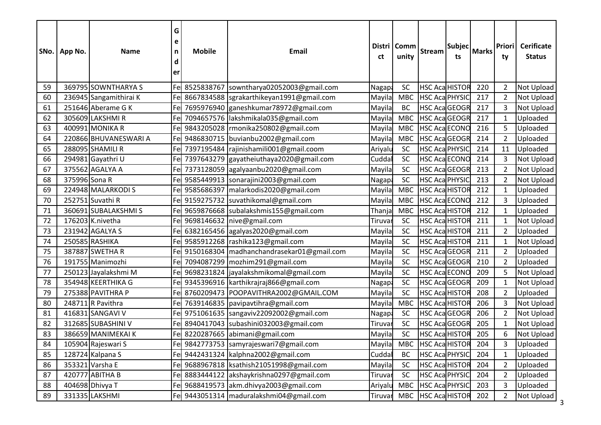|    | SNo.   App No. | <b>Name</b>            | G<br>e<br>n<br>d<br>er | <b>Mobile</b> | Email                                           | ct      | Distri   Comm<br>unity | Stream                     | Subjec<br>ts | Marks | <b>Priori</b><br>ty | <b>Cerificate</b><br><b>Status</b> |
|----|----------------|------------------------|------------------------|---------------|-------------------------------------------------|---------|------------------------|----------------------------|--------------|-------|---------------------|------------------------------------|
| 59 |                | 369795 SOWNTHARYA S    |                        | Fe 8525838767 | sowntharya02052003@gmail.com                    | Nagapa  | <b>SC</b>              | <b>HSC Aca HISTOR</b>      |              | 220   | $\overline{2}$      | Not Upload                         |
| 60 |                | 236945 Sangamithirai K | Fel                    |               | 8667834588  sgrakarthikeyan1991@gmail.com       | Mayila  | <b>MBC</b>             | <b>HSC Aca PHYSIC</b>      |              | 217   | 2                   | Not Upload                         |
| 61 |                | 251646 Aberame G K     | Fe                     |               | 7695976940 ganeshkumar78972@gmail.com           | Mayila  | BC                     | <b>HSC AcaGEOGR</b>        |              | 217   | 3                   | Not Upload                         |
| 62 |                | 305609 LAKSHMI R       | Fel                    |               | 7094657576 lakshmikala035@gmail.com             | Mayila  | <b>MBC</b>             | <b>HSC AcaGEOGR</b>        |              | 217   | $\mathbf{1}$        | Uploaded                           |
| 63 |                | 400991 MONIKA R        |                        |               | Fe 9843205028   rmonika 250802@gmail.com        | Mayila  | <b>MBC</b>             | <b>HSC Aca ECONO</b>       |              | 216   |                     | Uploaded                           |
| 64 |                | 220866 BHUVANESWARI A  |                        |               | Fel 9486830715 buvianbu2002@gmail.com           | Mayila  | <b>MBC</b>             | <b>HSC AcaGEOGR</b>        |              | 214   | $\overline{2}$      | Uploaded                           |
| 65 |                | 288095 SHAMILI R       | Fel                    |               | 7397195484 rajinishamili001@gmail.coom          | Ariyalu | <b>SC</b>              | HSC Aca PHYSIC             |              | 214   | 11                  | Uploaded                           |
| 66 |                | 294981 Gayathri U      | Fel                    | 7397643279    | gayatheiuthaya2020@gmail.com                    | Cuddal  | SC                     | <b>HSC Aca ECONC</b>       |              | 214   | 3                   | Not Upload                         |
| 67 |                | 375562 AGALYA A        | Fel                    |               | 7373128059 agalyaanbu2020@gmail.com             | Mayila  | <b>SC</b>              | <b>HSC AcaGEOGR</b>        |              | 213   | $\overline{2}$      | <b>Not Upload</b>                  |
| 68 | 375996 Sona R  |                        |                        |               | Fel 9585449913 sonarajini2003@gmail.com         | Nagapa  | SC                     | <b>HSC Aca PHYSIC</b>      |              | 213   | $\overline{2}$      | <b>Not Upload</b>                  |
| 69 |                | 224948 MALARKODI S     |                        | Fe 9585686397 | malarkodis2020@gmail.com                        | Mayila  | <b>MBC</b>             | <b>HSC Aca HISTOR</b>      |              | 212   | -1                  | Uploaded                           |
| 70 |                | 252751 Suvathi R       |                        |               | Fel 9159275732 suvathikomal@gmail.com           | Mayila  | <b>MBC</b>             | <b>HSC Aca ECONO</b>       |              | 212   | 3                   | Uploaded                           |
| 71 |                | 360691 SUBALAKSHMIS    |                        |               | Fel 9659876668 subalakshmis155@gmail.com        | Thanja  | <b>MBC</b>             | <b>HSC Aca HISTOR</b>      |              | 212   | $\mathbf 1$         | Uploaded                           |
| 72 |                | 176203 K.nivetha       |                        |               | Fel 9698146632   nive@gmail.com                 | Tiruvar | <b>SC</b>              | <b>HSC Aca HISTOR</b>      |              | 211   | $\mathbf{1}$        | <b>Not Upload</b>                  |
| 73 |                | 231942 AGALYA S        |                        |               | Fel 6382165456 agalyas2020@gmail.com            | Mayila  | <b>SC</b>              | <b>HSC Aca HISTOR</b>      |              | 211   | $\overline{2}$      | Uploaded                           |
| 74 |                | 250585 RASHIKA         |                        |               | Fel 9585912268  rashika123@gmail.com            | Mayila  | SC                     | <b>HSC Aca HISTOR</b>      |              | 211   | -1                  | <b>Not Upload</b>                  |
| 75 |                | 387887 SWETHA R        |                        |               | Fel 9150168304   madhanchandrasekar01@gmail.com | Mayila  | <b>SC</b>              | HSC AcaGEOGR               |              | 211   | 2                   | Uploaded                           |
| 76 |                | 191755 Manimozhi       | Fel                    |               | 7094087299 mozhim291@gmail.com                  | Mayila  | SC                     | <b>HSC AcaGEOGR</b>        |              | 210   | $\overline{2}$      | Uploaded                           |
| 77 |                | 250123 Jayalakshmi M   |                        |               | Fel 9698231824  jayalakshmikomal@gmail.com      | Mayila  | SC                     | <b>HSC Aca ECONO</b>       |              | 209   | 5                   | <b>Not Upload</b>                  |
| 78 |                | 354948 KEERTHIKA G     |                        |               | Fel 9345396916 karthikrajraj866@gmail.com       | Nagap:  | SC                     | <b>HSC AcaGEOGR</b>        |              | 209   | -1                  | <b>Not Upload</b>                  |
| 79 |                | 275388 PAVITHRA P      |                        |               | Fe 8760209473 POOPAVITHRA2002@GMAIL.COM         | Mayila  | SC                     | <b>HSC Aca HISTOR</b>      |              | 208   | 2                   | Uploaded                           |
| 80 |                | 248711 R Pavithra      |                        |               | Fel 7639146835  pavipavtihra@gmail.com          | Mayila  | <b>MBC</b>             | <b>HSC Aca HISTOR</b>      |              | 206   | 3                   | Not Upload                         |
| 81 |                | 416831 SANGAVI V       |                        |               | Fel 9751061635  sangaviv22092002@gmail.com      | Nagap:  | SC                     | <b>HSC Aca GEOGR</b>       |              | 206   | $\overline{2}$      | Not Upload                         |
| 82 |                | 312685 SUBASHINI V     | Fel                    |               | 8940417043 subashini032003@gmail.com            | Tiruvar | <b>SC</b>              | <b>HSC AcaGEOGR</b>        |              | 205   |                     | Not Upload                         |
| 83 |                | 386659 MANIMEKAI K     |                        |               | Fel 8220287665 abimani@gmail.com                | Mayila  | <b>SC</b>              | <b>HSC Aca HISTOR</b>      |              | 205   | 6                   | <b>Not Upload</b>                  |
| 84 |                | 105904 Rajeswari S     |                        |               | Fe 9842773753  samyrajeswari7@gmail.com         | Mayila  |                        | MBC HSC Aca HISTOR 204     |              |       | 3                   | Uploaded                           |
| 85 |                | 128724 Kalpana S       |                        |               | Fe 9442431324 kalphna2002@gmail.com             | Cuddal  | <b>BC</b>              | HSC Aca PHYSIC             |              | 204   |                     | Uploaded                           |
| 86 |                | 353321 Varsha E        |                        |               | Fel 9688967818   ksathish 21051998@gmail.com    | Mayila  | SC                     | <b>HSC Aca HISTOR</b>      |              | 204   | $\overline{2}$      | Uploaded                           |
| 87 |                | 420777 ABITHA B        |                        |               | Fel 8883444122 lakshaykrishna0297@gmail.com     | Tiruvar | <b>SC</b>              | <b>HSC Aca PHYSIC</b>      |              | 204   | $\overline{2}$      | Uploaded                           |
| 88 |                | 404698 Dhivya T        |                        |               | Fel 9688419573 akm.dhivya2003@gmail.com         | Ariyalu | <b>MBC</b>             | <b>HSC Aca PHYSIC</b>      |              | 203   | 3                   | Uploaded                           |
| 89 |                | 331335 LAKSHMI         |                        |               | Fe 9443051314   maduralakshmi 04@gmail.com      |         |                        | Tiruvar MBC HSC Aca HISTOR |              | 202   | 2                   | Not Upload                         |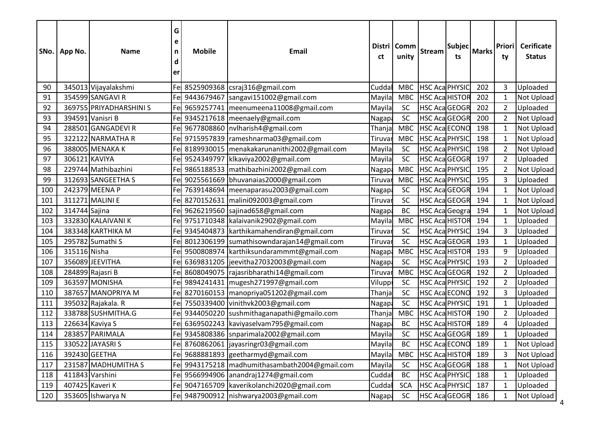|     | SNo.   App No. | <b>Name</b>             | G<br>e<br>n<br>d<br>er | <b>Mobile</b> | Email                                           | ct      | Distri   Comm<br>unity | <b>Stream</b>         | Subjec <br>ts | Marks | <b>Priori</b><br>ty | <b>Cerificate</b><br><b>Status</b> |
|-----|----------------|-------------------------|------------------------|---------------|-------------------------------------------------|---------|------------------------|-----------------------|---------------|-------|---------------------|------------------------------------|
| 90  |                | 345013 Vijayalakshmi    |                        |               | Fe 8525909368 csraj316@gmail.com                | Cudda   | <b>MBC</b>             | HSC Aca PHYSIC        |               | 202   | 3                   | Uploaded                           |
| 91  |                | 354599 SANGAVI R        |                        | Fe 9443679467 | sangavi151002@gmail.com                         | Mayila  | <b>MBC</b>             | <b>HSC Aca HISTOR</b> |               | 202   | -1                  | Not Upload                         |
| 92  |                | 369755 PRIYADHARSHINI S |                        |               | Fel 9659257741   meenumeena11008@gmail.com      | Mayila  | SC                     | <b>HSC AcaGEOGR</b>   |               | 202   | $\overline{2}$      | Uploaded                           |
| 93  |                | 394591 Vanisri B        |                        |               | Fel 9345217618   meenaely@gmail.com             | Nagapa  | <b>SC</b>              | <b>HSC AcaGEOGR</b>   |               | 200   | $\overline{2}$      | <b>Not Upload</b>                  |
| 94  |                | 288501 GANGADEVI R      |                        |               | Fe 9677808860   nvlharish4@gmail.com            | Thanja  | <b>MBC</b>             | <b>HSC Aca ECONO</b>  |               | 198   | -1                  | <b>Not Upload</b>                  |
| 95  |                | 322122 NARMATHA R       |                        | Fe 9715957839 | rameshnarma03@gmail.com                         | Tiruvar | <b>MBC</b>             | HSC Aca PHYSIC        |               | 198   | -1                  | Not Upload                         |
| 96  |                | 388005 MENAKA K         |                        | Fe 8189930015 | menakakarunanithi2002@gmail.com                 | Mayila  | <b>SC</b>              | <b>HSC Aca PHYSIC</b> |               | 198   | 2                   | Not Upload                         |
| 97  | 306121 KAVIYA  |                         |                        | Fe 9524349797 | klkaviya2002@gmail.com                          | Mayila  | SC                     | <b>HSC AcaGEOGR</b>   |               | 197   | $\overline{2}$      | Uploaded                           |
| 98  |                | 229744 Mathibazhini     |                        |               | Fe 9865188533   mathibazhini 2002@gmail.com     | Nagapa  | <b>MBC</b>             | <b>HSC Aca PHYSIC</b> |               | 195   | $\overline{2}$      | <b>Not Upload</b>                  |
| 99  |                | 312693 SANGEETHA S      |                        |               | Fel 9025561669 bhuvanaias2000@gmail.com         | Tiruvar | <b>MBC</b>             | HSC Aca PHYSIC        |               | 195   | 3                   | Uploaded                           |
| 100 |                | 242379 MEENA P          |                        |               | Fel 7639148694   meenaparasu2003@gmail.com      | Nagap:  | SC                     | <b>HSC AcaGEOGR</b>   |               | 194   | -1                  | <b>Not Upload</b>                  |
| 101 |                | 311271 MALINI E         |                        | Fe 8270152631 | malini092003@gmail.com                          | Tiruvar | SC                     | <b>HSC AcaGEOGR</b>   |               | 194   |                     | Not Upload                         |
| 102 | 314744 Sajina  |                         |                        |               | Fel 9626219560 sajinad658@gmail.com             | Nagapa  | BC                     | <b>HSC Aca Geogra</b> |               | 194   | $\mathbf 1$         | Not Upload                         |
| 103 |                | 332830 KALAIVANI K      |                        |               | Fel 9751710348 kalaivanik2902@gmail.com         | Mayila  | <b>MBC</b>             | <b>HSC Aca HISTOR</b> |               | 194   | -1                  | Uploaded                           |
| 104 |                | 383348 KARTHIKA M       |                        |               | Fel 9345404873 karthikamahendiran@gmail.com     | Tiruvar | <b>SC</b>              | <b>HSC Aca PHYSIC</b> |               | 194   | 3                   | Uploaded                           |
| 105 |                | 295782 Sumathi S        |                        |               | Fe 8012306199 sumathisowndarajan14@gmail.com    | Tiruvar | SC                     | <b>HSC AcaGEOGR</b>   |               | 193   | -1                  | Uploaded                           |
| 106 | 315116 Nisha   |                         |                        | Fe 9500808974 | karthiksundarammmt@gmail.com                    | Nagapa  | <b>MBC</b>             | <b>HSC Aca HISTOR</b> |               | 193   | 9                   | Uploaded                           |
| 107 |                | 356089 JEEVITHA         | Fel                    |               | 6369831205 jeevitha27032003@gmail.com           | Nagapa  | SC                     | <b>HSC Aca PHYSIC</b> |               | 193   | $\overline{2}$      | Uploaded                           |
| 108 |                | 284899 Rajasri B        | Fel                    |               | 8608049075 rajasribharathi14@gmail.com          | Tiruvar | <b>MBC</b>             | <b>HSC AcaGEOGR</b>   |               | 192   | $\overline{2}$      | Uploaded                           |
| 109 |                | 363597 MONISHA          | Fel                    | 9894241431    | mugesh271997@gmail.com                          | Viluppi | <b>SC</b>              | <b>HSC Aca PHYSIC</b> |               | 192   | $\overline{2}$      | Uploaded                           |
| 110 |                | 387657 MANOPRIYA M      |                        |               | Fel 8270160153   manopriya051202@gmail.com      | Thanja  | SC                     | <b>HSC Aca ECONO</b>  |               | 192   | 3                   | Uploaded                           |
| 111 |                | 395032 Rajakala. R      | Fel                    |               | 7550339400 vinithvk2003@gmail.com               | Nagapa  | SC                     | <b>HSC Aca PHYSIC</b> |               | 191   | -1                  | Uploaded                           |
| 112 |                | 338788 SUSHMITHA.G      |                        |               | Fe 9344050220 sushmithaganapathi@gmailo.com     | Thanja  | <b>MBC</b>             | <b>HSC Aca HISTOR</b> |               | 190   | $\overline{2}$      | Uploaded                           |
| 113 |                | 226634 Kaviya S         | Fel                    |               | 6369502243 kaviyaselvam795@gmail.com            | Nagapa  | <b>BC</b>              | <b>HSC Aca HISTOR</b> |               | 189   | 4                   | Uploaded                           |
| 114 |                | 283857 PARIMALA         |                        |               | Fe 9345808386  snparimala2002@gmail.com         | Mayila  | <b>SC</b>              | <b>HSC AcaGEOGR</b>   |               | 189   |                     | Uploaded                           |
| 115 |                | 330522 JAYASRIS         |                        |               | Fe 8760862061   jayasringr03@gmail.com          | Mayila  | BC                     | HSC Aca ECONO 189     |               |       |                     | Not Upload                         |
| 116 |                | 392430 GEETHA           |                        |               | Fe 9688881893 geetharmyd@gmail.com              | Mayila  | <b>MBC</b>             | <b>HSC Aca HISTOR</b> |               | 189   |                     | Not Upload                         |
| 117 |                | 231587 MADHUMITHA S     |                        |               | Fe 9943175218   madhumithasambath2004@gmail.com | Mayila  | SC                     | <b>HSC AcaGEOGR</b>   |               | 188   | $\mathbf 1$         | Not Upload                         |
| 118 |                | 411843 Varshini         |                        |               | Fel 9566994906 anandraj1274@gmail.com           | Cuddal  | BC                     | <b>HSC Aca PHYSIC</b> |               | 188   | -1                  | Uploaded                           |
| 119 |                | 407425 Kaveri K         |                        |               | Fe 9047165709 kaverikolanchi2020@gmail.com      | Cuddal  | <b>SCA</b>             | HSC Aca PHYSIC        |               | 187   |                     | Uploaded                           |
| 120 |                | 353605 Ishwarya N       |                        |               | Fel 9487900912   nishwarya2003@gmail.com        | Nagapa  | SC                     | HSC AcaGEOGR          |               | 186   | 1                   | Not Upload                         |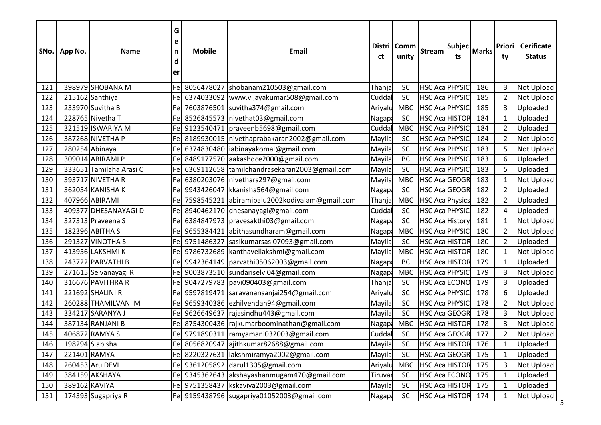|     | SNo.   App No. | <b>Name</b>             | G<br>e<br>n<br>d<br>er | <b>Mobile</b> | <b>Email</b>                                    | ct             | Distri   Comm<br>unity | Stream                 | Subjec <br>ts | Marks | Priori<br>ty   | Cerificate<br><b>Status</b> |
|-----|----------------|-------------------------|------------------------|---------------|-------------------------------------------------|----------------|------------------------|------------------------|---------------|-------|----------------|-----------------------------|
| 121 |                | 398979 SHOBANA M        |                        |               | Fe 8056478027 shobanam210503@gmail.com          | Thanja         | SC                     | <b>HSC Aca PHYSIC</b>  |               | 186   | 3              | <b>Not Upload</b>           |
| 122 |                | 215162 Santhiya         | Fe                     |               | 6374033092  www.vijayakumar508@gmail.com        | Cudda          | <b>SC</b>              | <b>HSC Aca PHYSIC</b>  |               | 185   | 2              | Not Upload                  |
| 123 |                | 233970 Suvitha B        | Fe                     |               | 7603876501 suvitha374@gmail.com                 | Ariyalu        | <b>MBC</b>             | HSC Aca PHYSIC         |               | 185   | 3              | Uploaded                    |
| 124 |                | 228765 Nivetha T        | Fe                     |               | 8526845573   nivethat03@gmail.com               | Nagapa         | SC                     | <b>HSC Aca HISTOR</b>  |               | 184   | -1             | Uploaded                    |
| 125 |                | 321519 ISWARIYA M       |                        |               | Fel 9123540471  praveenb5698@gmail.com          | Cudda          | <b>MBC</b>             | <b>HSC Aca PHYSIC</b>  |               | 184   | $\overline{2}$ | Uploaded                    |
| 126 |                | 387268 NIVETHA P        |                        |               | Fel 8189930015 Inivethaprabakaran2002@gmail.com | Mayila         | SC                     | HSC Aca PHYSIC         |               | 184   | 2              | <b>Not Upload</b>           |
| 127 |                | 280254 Abinaya I        | Fe                     |               | 6374830480 liabinayakomal@gmail.com             | Mayila         | <b>SC</b>              | <b>HSC Aca PHYSIC</b>  |               | 183   | 5              | <b>Not Upload</b>           |
| 128 |                | 309014 ABIRAMI P        | Fe                     |               | 8489177570 aakashdce2000@gmail.com              | Mayila         | <b>BC</b>              | HSC Aca PHYSIC         |               | 183   | 6              | Uploaded                    |
| 129 |                | 333651 Tamilaha Arasi C | Fe                     |               | 6369112658 tamilchandrasekaran2003@gmail.com    | Mayila         | SC                     | HSC Aca PHYSIC         |               | 183   | 5              | Uploaded                    |
| 130 |                | 393717 NIVETHA R        | Fe                     |               | 6380203076   nivethars 297@gmail.com            | Mayila         | <b>MBC</b>             | HSC AcaGEOGR           |               | 183   |                | <b>Not Upload</b>           |
| 131 |                | 362054 KANISHA K        |                        |               | Fe 9943426047 kkanisha564@gmail.com             | <b>Nagapa</b>  | <b>SC</b>              | <b>HSC AcaGEOGR</b>    |               | 182   | 2              | Uploaded                    |
| 132 |                | 407966 ABIRAMI          | Fe                     | 7598545221    | abiramibalu2002kodiyalam@gmail.com              | Thanja         | <b>MBC</b>             | <b>HSC Aca Physics</b> |               | 182   | 2              | Uploaded                    |
| 133 |                | 409377 DHESANAYAGI D    | Fe                     |               | 8940462170 dhesanayagi@gmail.com                | Cuddal         | SC                     | <b>HSC Aca PHYSIC</b>  |               | 182   | $\overline{4}$ | Uploaded                    |
| 134 |                | 327313 Praveena S       | Fe                     |               | 6384847973   pravesakthi03@gmail.com            | Nagapa         | SC                     | <b>HSC Aca History</b> |               | 181   | -1             | Not Upload                  |
| 135 |                | 182396 ABITHA S         | Fe                     |               | 9655384421 abithasundharam@gmail.com            | <b>Nagapa</b>  | <b>MBC</b>             | <b>HSC Aca PHYSIC</b>  |               | 180   | $\overline{2}$ | <b>Not Upload</b>           |
| 136 |                | 291327 VINOTHA S        |                        |               | Fe 9751486327 sasikumarsasi07093@gmail.com      | Mayila         | SC                     | <b>HSC Aca HISTOR</b>  |               | 180   | 2              | Uploaded                    |
| 137 |                | 413956 LAKSHMI K        |                        |               | Fe 9786732689 kanthavellakshmi@gmail.com        | Mayila         | <b>MBC</b>             | <b>HSC Aca HISTOR</b>  |               | 180   | -1             | Not Upload                  |
| 138 |                | 243722 PARVATHI B       |                        |               | Fe 9942364149 parvathi05062003@gmail.com        | Nagapa         | BC                     | <b>HSC Aca HISTOR</b>  |               | 179   | $\mathbf 1$    | Uploaded                    |
| 139 |                | 271615 Selvanayagi R    | Fe                     |               | 9003873510 sundariselvi04@gmail.com             | Nagap:         | <b>MBC</b>             | <b>HSC Aca PHYSIC</b>  |               | 179   | 3              | Not Upload                  |
| 140 |                | 316676 PAVITHRA R       | Fe                     |               | 9047279783  pavi090403@gmail.com                | Thanja         | SC                     | <b>HSC Aca ECONC</b>   |               | 179   | 3              | Uploaded                    |
| 141 |                | 221692 SHALINI R        | Fel                    |               | 9597819471 saravanansanjai254@gmail.com         | Ariyalu        | SC                     | <b>HSC Aca PHYSIC</b>  |               | 178   | 6              | Uploaded                    |
| 142 |                | 260288 THAMILVANI M     | Fe                     |               | 9659340386 ezhilvendan94@gmail.com              | Mayila         | SC                     | <b>HSC Aca PHYSIC</b>  |               | 178   | 2              | Not Upload                  |
| 143 |                | 334217 SARANYA J        | Fe                     |               | 9626649637 rajasindhu443@gmail.com              | Mayila         | SC                     | <b>HSC AcaGEOGR</b>    |               | 178   | 3              | Not Upload                  |
| 144 |                | 387134 RANJANI B        | Fe                     |               | 8754300436 rajkumarboominathan@gmail.com        | Nagapa         | <b>MBC</b>             | <b>HSC Aca HISTOR</b>  |               | 178   | 3              | Not Upload                  |
| 145 |                | 406872 RAMYA S          |                        |               | Fel 9791890311  ramyamani032003@gmail.com       | Cuddal         | <b>SC</b>              | HSC AcaGEOGR           |               | 177   | $\overline{2}$ | <b>Not Upload</b>           |
| 146 |                | 198294 S.abisha         |                        |               | Fe 8056820947 ajithkumar82688@gmail.com         | Mayila         | <b>SC</b>              | HSC Aca HISTOR 176     |               |       | $\mathbf{1}$   | Uploaded                    |
| 147 | 221401 RAMYA   |                         |                        |               | Fel 8220327631 lakshmiramya2002@gmail.com       | Mayila         | SC                     | HSC AcaGEOGR 175       |               |       |                | Uploaded                    |
| 148 |                | 260453 ArulDEVI         |                        |               | Fe 9361205892 darul1305@gmail.com               | Ariyalu        | <b>MBC</b>             | HSC Aca HISTOR 175     |               |       | $\mathbf{3}$   | Not Upload                  |
| 149 |                | 384159 AKSHAYA          |                        |               | Fel 9345362643 akshayashanmugam470@gmail.com    | <b>Tiruvar</b> | SC                     | HSC Aca ECONO          |               | 175   | $\mathbf{1}$   | Uploaded                    |
| 150 | 389162 KAVIYA  |                         |                        |               | Fe 9751358437 kskaviya2003@gmail.com            | Mayila         | SC                     | HSC Aca HISTOR 175     |               |       | $\mathbf{1}$   | Uploaded                    |
| 151 |                | 174393 Sugapriya R      |                        |               | Fe 9159438796 sugapriya01052003@gmail.com       | Nagapa         | SC                     | HSC Aca HISTOR 174     |               |       | 1              | Not Upload                  |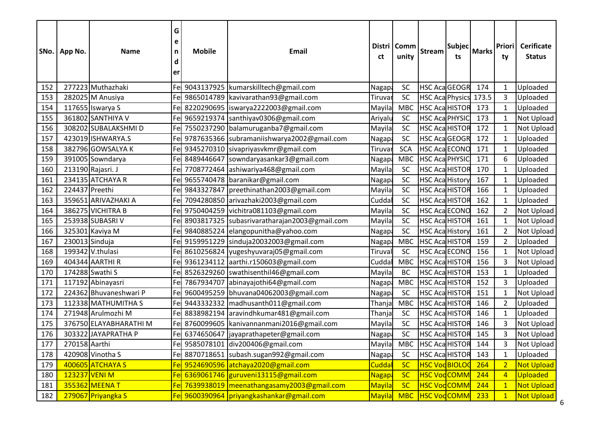|     | SNo.   App No. | <b>Name</b>            | G<br>e<br>n<br>d<br>er | <b>Mobile</b> | Email                                          | ct            | Distri   Comm<br>unity | <b>Stream</b>              | Subjec <br>ts | Marks | Priori<br>ty   | <b>Cerificate</b><br><b>Status</b> |
|-----|----------------|------------------------|------------------------|---------------|------------------------------------------------|---------------|------------------------|----------------------------|---------------|-------|----------------|------------------------------------|
| 152 |                | 277223 Muthazhaki      |                        | Fe 9043137925 | kumarskilltech@gmail.com                       | Nagapa        | SC                     | <b>HSC AcaGEOGR</b>        |               | 174   | $\overline{1}$ | Uploaded                           |
| 153 |                | 282025 M Anusiya       |                        |               | Fel 9865014789   kavivarathan93@gmail.com      | Tiruvar       | SC                     | HSC Aca Physics 173.5      |               |       | 3              | Uploaded                           |
| 154 |                | 117655 Iswarya S       | Fel                    |               | 8220290695  iswarya2222003@gmail.com           | Mayila        | <b>MBC</b>             | <b>HSC Aca HISTOR</b>      |               | 173   | $\mathbf 1$    | Uploaded                           |
| 155 |                | 361802 SANTHIYA V      |                        |               | Fel 9659219374 santhiyav0306@gmail.com         | Ariyalu       | <b>SC</b>              | <b>HSC Aca PHYSIC</b>      |               | 173   | -1             | <b>Not Upload</b>                  |
| 156 |                | 308202 SUBALAKSHMI D   |                        |               | Fel 7550237290 balamuruganba7@gmail.com        | Mayila        | <b>SC</b>              | <b>HSC Aca HISTOR</b>      |               | 172   | -1             | <b>Not Upload</b>                  |
| 157 |                | 423019 ISHWARYA.S      |                        |               | Fel 9787635366 subramaniishwarya2002@gmail.com | Nagap:        | SC                     | <b>HSC AcaGEOGR</b>        |               | 172   | -1             | Uploaded                           |
| 158 |                | 382796 GOWSALYA K      |                        |               | Fel 9345270310 sivapriyasvkmr@gmail.com        | Tiruvar       | <b>SCA</b>             | <b>HSC Aca ECONO</b>       |               | 171   |                | Uploaded                           |
| 159 |                | 391005 Sowndarya       | Fel                    | 8489446647    | sowndaryasankar3@gmail.com                     | Nagapa        | <b>MBC</b>             | HSC Aca PHYSIC             |               | 171   | 6              | Uploaded                           |
| 160 |                | 213190 Rajasri. J      | Fel                    |               | 7708772464 ashiwariya468@gmail.com             | Mayila        | SC                     | <b>HSC Aca HISTOR</b>      |               | 170   |                | Uploaded                           |
| 161 |                | 234135 ATCHAYA R       |                        |               | Fel 9655740478 baranikar@gmail.com             | Nagapa        | SC                     | <b>HSC Aca History</b>     |               | 167   |                | Uploaded                           |
| 162 | 224437 Preethi |                        |                        | Fe 9843327847 | preethinathan2003@gmail.com                    | Mayila        | <b>SC</b>              | <b>HSC Aca HISTOR</b>      |               | 166   | $\overline{1}$ | Uploaded                           |
| 163 |                | 359651 ARIVAZHAKI A    | Fel                    |               | 7094280850 arivazhaki2003@gmail.com            | Cuddal        | SC                     | <b>HSC Aca HISTOR</b>      |               | 162   |                | Uploaded                           |
| 164 |                | 386275 VICHITRA B      |                        |               | Fel 9750404259 vichitra081103@gmail.com        | Mayila        | SC                     | <b>HSC Aca ECONC</b>       |               | 162   | $\overline{2}$ | Not Upload                         |
| 165 |                | 253938 SUBASRI V       | Fel                    |               | 8903817325  subasrivaratharajan2003@gmail.com  | Mayila        | <b>SC</b>              | <b>HSC Aca HISTOR</b>      |               | 161   |                | Not Upload                         |
| 166 |                | 325301 Kaviya M        |                        |               | Fel 9840885224 elangopunitha@yahoo.com         | Nagapa        | SC                     | HSC Aca History            |               | 161   | $\overline{2}$ | <b>Not Upload</b>                  |
| 167 | 230013 Sinduja |                        |                        |               | Fel 9159951229 sinduja20032003@gmail.com       | Nagapa        | <b>MBC</b>             | <b>HSC Aca HISTOR</b>      |               | 159   | 2              | Uploaded                           |
| 168 |                | 199342 V.thulasi       |                        |               | Fel 8610256824 yugeshyuvaraj05@gmail.com       | Tiruval       | SC                     | <b>HSC Aca ECONC</b>       |               | 156   |                | Not Upload                         |
| 169 |                | 404344 AARTHIR         |                        | Fe 9361234112 | aarthi.r150603@gmail.com                       | Cuddal        | <b>MBC</b>             | <b>HSC Aca HISTOR</b>      |               | 156   | 3              | Not Upload                         |
| 170 |                | 174288 Swathi S        | Fel                    |               | 8526329260 swathisenthil46@gmail.com           | Mayila        | <b>BC</b>              | <b>HSC Aca HISTOR</b>      |               | 153   | -1             | Uploaded                           |
| 171 |                | 117192 Abinayasri      | Fel                    | 7867934707    | abinayajothi64@gmail.com                       | Nagap:        | <b>MBC</b>             | <b>HSC Aca HISTOR</b>      |               | 152   | 3              | Uploaded                           |
| 172 |                | 224362 Bhuvaneshwari P |                        | Fe 9600495259 | bhuvana04062003@gmail.com                      | Nagap:        | SC                     | <b>HSC Aca HISTOR</b>      |               | 151   | $\overline{1}$ | Not Upload                         |
| 173 |                | 112338 MATHUMITHA S    |                        | Fe 9443332332 | madhusanth011@gmail.com                        | Thanja        | <b>MBC</b>             | <b>HSC Aca HISTOR</b>      |               | 146   | 2              | Uploaded                           |
| 174 |                | 271948 Arulmozhi M     | Fel                    |               | 8838982194 aravindhkumar481@gmail.com          | Thanja        | <b>SC</b>              | <b>HSC Aca HISTOR</b>      |               | 146   | $\mathbf 1$    | Uploaded                           |
| 175 |                | 376750 ELAYABHARATHI M |                        |               | Fel 8760099605 kanivannanmani2016@gmail.com    | Mayila        | <b>SC</b>              | <b>HSC Aca HISTOR</b>      |               | 146   | 3              | Not Upload                         |
| 176 |                | 303322 JAYAPRATHA P    |                        |               | Fel 6374650647 ljayaprathapeter@gmail.com      | Nagapa        | <b>SC</b>              | <b>HSC Aca HISTOR</b>      |               | 145   | 3              | <b>Not Upload</b>                  |
| 177 | 270158 Aarthi  |                        |                        |               | Fe 9585078101 div200406@gmail.com              | Mayila        |                        | MBC HSC Aca HISTOR 144     |               |       | 3              | Not Upload                         |
| 178 |                | 420908 Vinotha S       |                        |               | Fe 8870718651 subash.sugan992@gmail.com        | Nagapa        | SC                     | HSC Aca HISTOR 143         |               |       |                | Uploaded                           |
| 179 |                | 400605 ATCHAYA S       |                        |               | Fe 9524690596 atchaya2020@gmail.com            | Cuddal        | SC                     | HSC VodBIOLOG 264          |               |       | $\overline{2}$ | <b>Not Upload</b>                  |
| 180 | 123237 VENI M  |                        |                        |               | Fe 6369061746 guruveni13115@gmail.com          | <b>Nagapa</b> | <b>SC</b>              | <b>HSC VodCOMM</b>         |               | 244   |                | <b>Uploaded</b>                    |
| 181 |                | 355362 MEENA T         |                        |               | Fe 7639938019 meenathangasamy2003@gmail.com    | Mayila        | SC                     | <b>HSC VodCOMM</b>         |               | 244   |                | <b>Not Upload</b>                  |
| 182 |                | 279067 Priyangka S     |                        |               | Fel 9600390964 priyangkashankar@gmail.com      |               |                        | Mayila MBC HSC VodCOMM 233 |               |       | $\mathbf{1}$   | Not Upload                         |